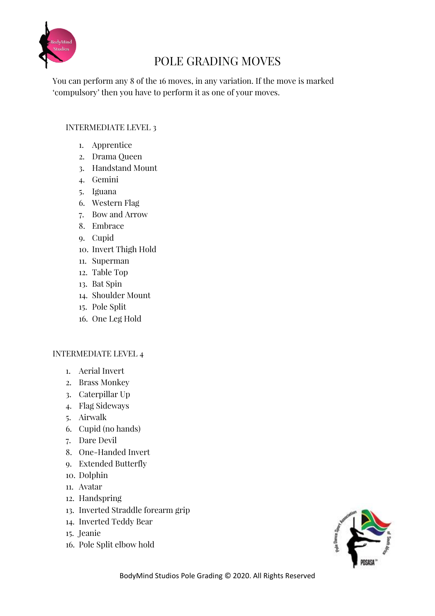

# POLE GRADING MOVES

You can perform any 8 of the 16 moves, in any variation. If the move is marked 'compulsory' then you have to perform it as one of your moves.

### INTERMEDIATE LEVEL 3

- 1. Apprentice
- 2. Drama Queen
- 3. Handstand Mount
- 4. Gemini
- 5. Iguana
- 6. Western Flag
- 7. Bow and Arrow
- 8. Embrace
- 9. Cupid
- 10. Invert Thigh Hold
- 11. Superman
- 12. Table Top
- 13. Bat Spin
- 14. Shoulder Mount
- 15. Pole Split
- 16. One Leg Hold

### INTERMEDIATE LEVEL 4

- 1. Aerial Invert
- 2. Brass Monkey
- 3. Caterpillar Up
- 4. Flag Sideways
- 5. Airwalk
- 6. Cupid (no hands)
- 7. Dare Devil
- 8. One-Handed Invert
- 9. Extended Butterfly
- 10. Dolphin
- 11. Avatar
- 12. Handspring
- 13. Inverted Straddle forearm grip
- 14. Inverted Teddy Bear
- 15. Jeanie
- 16. Pole Split elbow hold

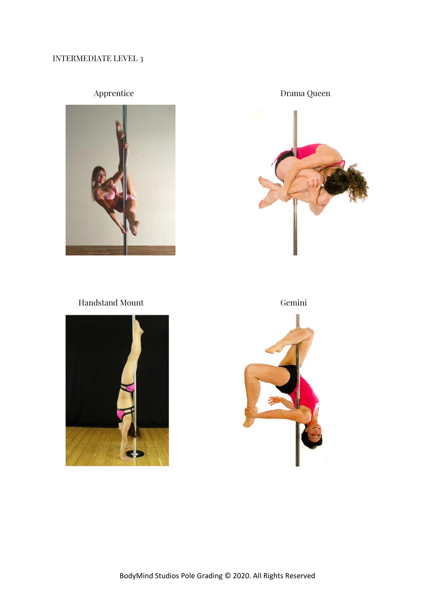## INTERMEDIATE LEVEL 3



Apprentice Drama Queen

Handstand Mount Gemini



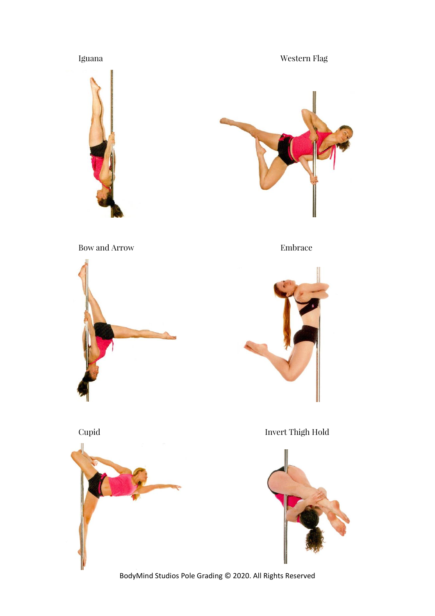Iguana Western Flag





Bow and Arrow Embrace







Cupid Invert Thigh Hold

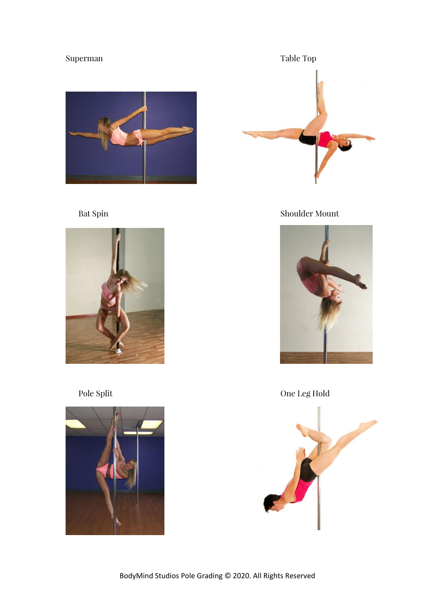







Bat Spin Shoulder Mount



Pole Split One Leg Hold

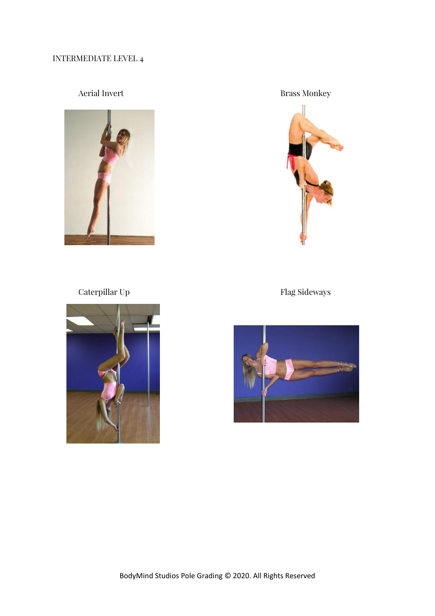## INTERMEDIATE LEVEL 4



Aerial Invert Brass Monkey



Caterpillar Up Flag Sideways



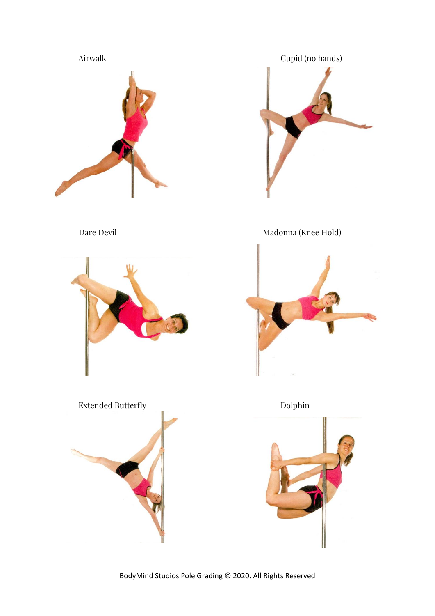